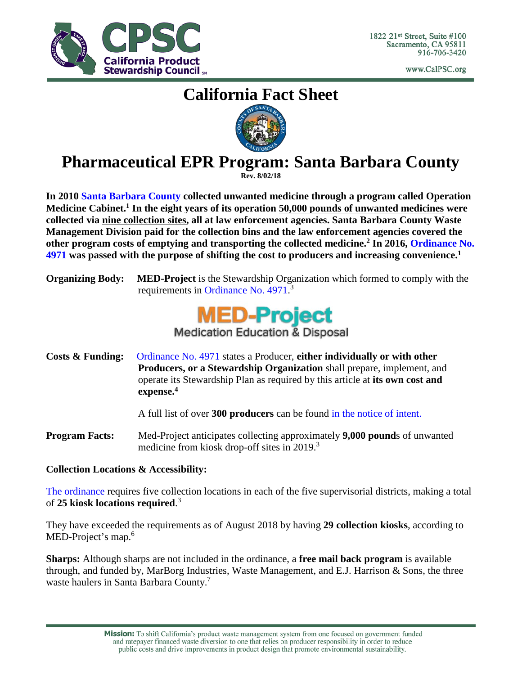

www.CalPSC.org

# **California Fact Sheet**



## **Pharmaceutical EPR Program: Santa Barbara County**

**Rev. 8/02/18**

**In 2010 [Santa Barbara County](https://www.santabarbaraca.gov/services/recycling/specialwaste/medical.asp) collected unwanted medicine through a program called Operation Medicine Cabinet.1 In the eight years of its operation 50,000 pounds of unwanted medicines were collected via nine collection sites, all at law enforcement agencies. Santa Barbara County Waste Management Division paid for the collection bins and the law enforcement agencies covered the other program costs of emptying and transporting the collected medicine. <sup>2</sup> In 2016, [Ordinance No.](http://www.lessismore.org/system/files/334/original/Santa_Barbara_County_Safe_Drug_Disposal_EPR_Ordinance_Signed.pdf)  [4971](http://www.lessismore.org/system/files/334/original/Santa_Barbara_County_Safe_Drug_Disposal_EPR_Ordinance_Signed.pdf) was passed with the purpose of shifting the cost to producers and increasing convenience.1**

**Organizing Body: MED-Project** is the Stewardship Organization which formed to comply with the requirements in [Ordinance No. 4971.](http://www.lessismore.org/system/files/334/original/Santa_Barbara_County_Safe_Drug_Disposal_EPR_Ordinance_Signed.pdf)<sup>3</sup>



**Costs & Funding:** [Ordinance No. 4971](http://www.lessismore.org/system/files/334/original/Santa_Barbara_County_Safe_Drug_Disposal_EPR_Ordinance_Signed.pdf) states a Producer, **either individually or with other Producers, or a Stewardship Organization** shall prepare, implement, and operate its Stewardship Plan as required by this article at **its own cost and expense. 4**

A full list of over **300 producers** can be found [in the notice of intent.](https://countyofsb.org/uploadedFiles/phd/PROGRAMS/EHS/Participating%20Producers.pdf)

**Program Facts:** Med-Project anticipates collecting approximately **9,000 pound**s of unwanted medicine from kiosk drop-off sites in 2019.<sup>3</sup>

### **Collection Locations & Accessibility:**

[The ordinance](http://www.lessismore.org/system/files/334/original/Santa_Barbara_County_Safe_Drug_Disposal_EPR_Ordinance_Signed.pdf) requires five collection locations in each of the five supervisorial districts, making a total of **25 kiosk locations required**. 3

They have exceeded the requirements as of August 2018 by having **29 collection kiosks**, according to MED-Project's map.<sup>6</sup>

**Sharps:** Although sharps are not included in the ordinance, a **free mail back program** is available through, and funded by, MarBorg Industries, Waste Management, and E.J. Harrison & Sons, the three waste haulers in Santa Barbara County. 7